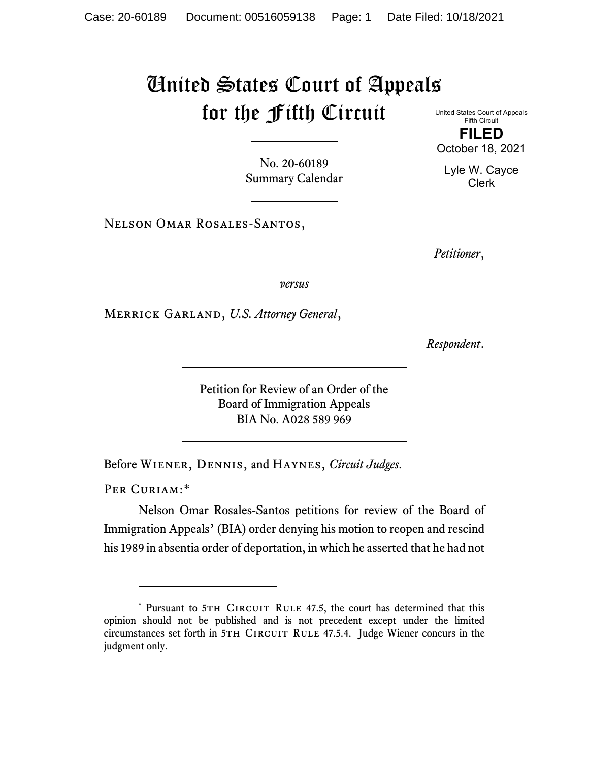## United States Court of Appeals for the Fifth Circuit

United States Court of Appeals Fifth Circuit **FILED** October 18, 2021

Lyle W. Cayce Clerk

No. 20-60189 Summary Calendar

Nelson Omar Rosales-Santos,

*Petitioner*,

*versus*

Merrick Garland, *U.S. Attorney General*,

*Respondent*.

Petition for Review of an Order of the Board of Immigration Appeals BIA No. A028 589 969

Before Wiener, Dennis, and Haynes, *Circuit Judges*.

PER CURIAM:[\\*](#page-0-0)

Nelson Omar Rosales-Santos petitions for review of the Board of Immigration Appeals' (BIA) order denying his motion to reopen and rescind his 1989 in absentia order of deportation, in which he asserted that he had not

<span id="page-0-0"></span><sup>\*</sup> Pursuant to 5TH CIRCUIT RULE 47.5, the court has determined that this opinion should not be published and is not precedent except under the limited circumstances set forth in 5TH CIRCUIT RULE 47.5.4. Judge Wiener concurs in the judgment only.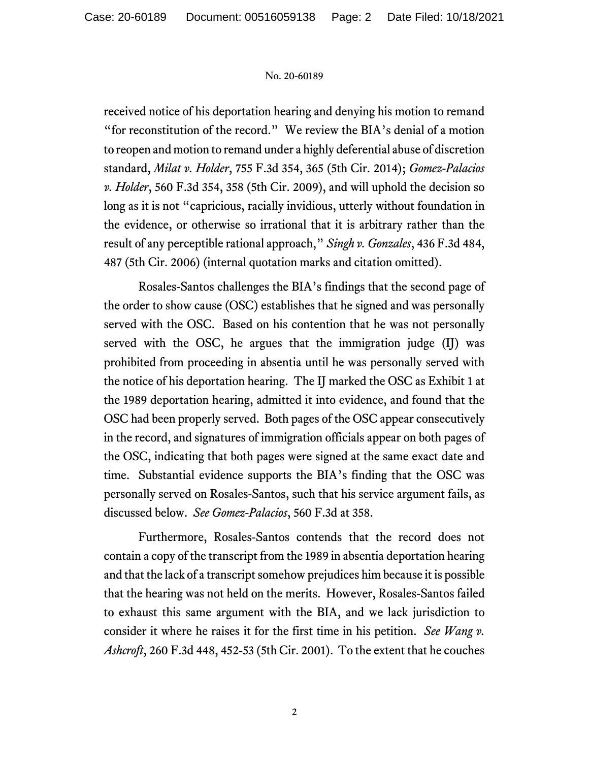## No. 20-60189

received notice of his deportation hearing and denying his motion to remand "for reconstitution of the record." We review the BIA's denial of a motion to reopen and motion to remand under a highly deferential abuse of discretion standard, *Milat v. Holder*, 755 F.3d 354, 365 (5th Cir. 2014); *Gomez-Palacios v. Holder*, 560 F.3d 354, 358 (5th Cir. 2009), and will uphold the decision so long as it is not "capricious, racially invidious, utterly without foundation in the evidence, or otherwise so irrational that it is arbitrary rather than the result of any perceptible rational approach," *Singh v. Gonzales*, 436 F.3d 484, 487 (5th Cir. 2006) (internal quotation marks and citation omitted).

Rosales-Santos challenges the BIA's findings that the second page of the order to show cause (OSC) establishes that he signed and was personally served with the OSC. Based on his contention that he was not personally served with the OSC, he argues that the immigration judge (IJ) was prohibited from proceeding in absentia until he was personally served with the notice of his deportation hearing. The IJ marked the OSC as Exhibit 1 at the 1989 deportation hearing, admitted it into evidence, and found that the OSC had been properly served. Both pages of the OSC appear consecutively in the record, and signatures of immigration officials appear on both pages of the OSC, indicating that both pages were signed at the same exact date and time. Substantial evidence supports the BIA's finding that the OSC was personally served on Rosales-Santos, such that his service argument fails, as discussed below. *See Gomez-Palacios*, 560 F.3d at 358.

Furthermore, Rosales-Santos contends that the record does not contain a copy of the transcript from the 1989 in absentia deportation hearing and that the lack of a transcript somehow prejudices him because it is possible that the hearing was not held on the merits. However, Rosales-Santos failed to exhaust this same argument with the BIA, and we lack jurisdiction to consider it where he raises it for the first time in his petition. *See Wang v. Ashcroft*, 260 F.3d 448, 452-53 (5th Cir. 2001). To the extent that he couches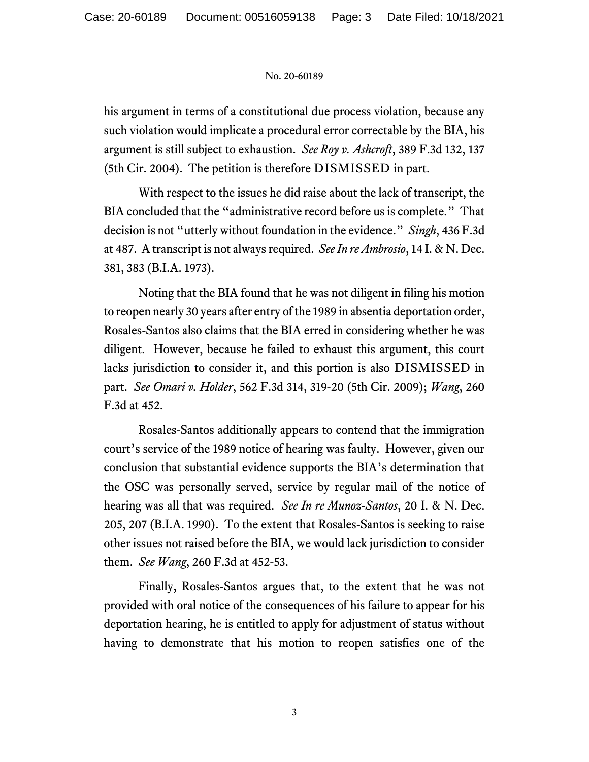## No. 20-60189

his argument in terms of a constitutional due process violation, because any such violation would implicate a procedural error correctable by the BIA, his argument is still subject to exhaustion. *See Roy v. Ashcroft*, 389 F.3d 132, 137 (5th Cir. 2004). The petition is therefore DISMISSED in part.

With respect to the issues he did raise about the lack of transcript, the BIA concluded that the "administrative record before us is complete." That decision is not "utterly without foundation in the evidence." *Singh*, 436 F.3d at 487. A transcript is not always required. *See In re Ambrosio*, 14 I. & N. Dec. 381, 383 (B.I.A. 1973).

Noting that the BIA found that he was not diligent in filing his motion to reopen nearly 30 years after entry of the 1989 in absentia deportation order, Rosales-Santos also claims that the BIA erred in considering whether he was diligent. However, because he failed to exhaust this argument, this court lacks jurisdiction to consider it, and this portion is also DISMISSED in part. *See Omari v. Holder*, 562 F.3d 314, 319-20 (5th Cir. 2009); *Wang*, 260 F.3d at 452.

Rosales-Santos additionally appears to contend that the immigration court's service of the 1989 notice of hearing was faulty. However, given our conclusion that substantial evidence supports the BIA's determination that the OSC was personally served, service by regular mail of the notice of hearing was all that was required. *See In re Munoz-Santos*, 20 I. & N. Dec. 205, 207 (B.I.A. 1990). To the extent that Rosales-Santos is seeking to raise other issues not raised before the BIA, we would lack jurisdiction to consider them. *See Wang*, 260 F.3d at 452-53.

Finally, Rosales-Santos argues that, to the extent that he was not provided with oral notice of the consequences of his failure to appear for his deportation hearing, he is entitled to apply for adjustment of status without having to demonstrate that his motion to reopen satisfies one of the